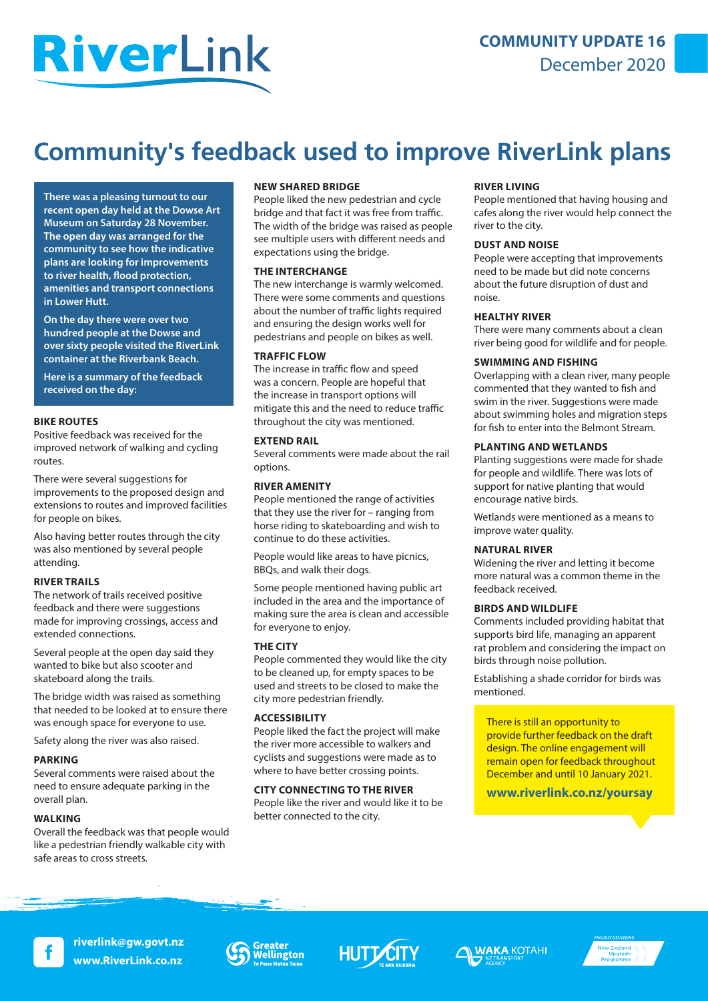# RiverLink

### **COMMUNITY UPDATE 16**  December 2020

# **Community's feedback used to improve RiverLink plans**

**There was a pleasing turnout to our recent open day held at the Dowse Art Museum on Saturday 28 November. The open day was arranged for the community to see how the indicative plans are looking for improvements to river health, flood protection, amenities and transport connections in Lower Hutt.**

**On the day there were over two hundred people at the Dowse and over sixty people visited the RiverLink container at the Riverbank Beach.**

**Here is a summary of the feedback received on the day:**

#### **BIKE ROUTES**

Positive feedback was received for the improved network of walking and cycling routes.

There were several suggestions for improvements to the proposed design and extensions to routes and improved facilities for people on bikes.

Also having better routes through the city was also mentioned by several people attending.

#### **RIVER TRAILS**

The network of trails received positive feedback and there were suggestions made for improving crossings, access and extended connections.

Several people at the open day said they wanted to bike but also scooter and skateboard along the trails.

The bridge width was raised as something that needed to be looked at to ensure there was enough space for everyone to use.

Safety along the river was also raised.

#### **PARKING**

Several comments were raised about the need to ensure adequate parking in the overall plan.

#### **WALKING**

Overall the feedback was that people would like a pedestrian friendly walkable city with safe areas to cross streets.

#### **NEW SHARED BRIDGE**

People liked the new pedestrian and cycle bridge and that fact it was free from traffic. The width of the bridge was raised as people see multiple users with different needs and expectations using the bridge.

#### **THE INTERCHANGE**

The new interchange is warmly welcomed. There were some comments and questions about the number of traffic lights required and ensuring the design works well for pedestrians and people on bikes as well.

#### **TRAFFIC FLOW**

The increase in traffic flow and speed was a concern. People are hopeful that the increase in transport options will mitigate this and the need to reduce traffic throughout the city was mentioned.

#### **EXTEND RAIL**

Several comments were made about the rail options.

#### **RIVER AMENITY**

People mentioned the range of activities that they use the river for – ranging from horse riding to skateboarding and wish to continue to do these activities.

People would like areas to have picnics, BBQs, and walk their dogs.

Some people mentioned having public art included in the area and the importance of making sure the area is clean and accessible for everyone to enjoy.

#### **THE CITY**

People commented they would like the city to be cleaned up, for empty spaces to be used and streets to be closed to make the city more pedestrian friendly.

#### **ACCESSIBILITY**

People liked the fact the project will make the river more accessible to walkers and cyclists and suggestions were made as to where to have better crossing points.

#### **CITY CONNECTING TO THE RIVER**

People like the river and would like it to be better connected to the city.

#### **RIVER LIVING**

People mentioned that having housing and cafes along the river would help connect the river to the city.

#### **DUST AND NOISE**

People were accepting that improvements need to be made but did note concerns about the future disruption of dust and noise.

#### **HEALTHY RIVER**

There were many comments about a clean river being good for wildlife and for people.

#### **SWIMMING AND FISHING**

Overlapping with a clean river, many people commented that they wanted to fish and swim in the river. Suggestions were made about swimming holes and migration steps for fish to enter into the Belmont Stream.

#### **PLANTING AND WETLANDS**

Planting suggestions were made for shade for people and wildlife. There was lots of support for native planting that would encourage native birds.

Wetlands were mentioned as a means to improve water quality.

#### **NATURAL RIVER**

Widening the river and letting it become more natural was a common theme in the feedback received.

#### **BIRDS AND WILDLIFE**

Comments included providing habitat that supports bird life, managing an apparent rat problem and considering the impact on birds through noise pollution.

Establishing a shade corridor for birds was mentioned.

There is still an opportunity to provide further feedback on the draft design. The online engagement will remain open for feedback throughout December and until 10 January 2021.

**www.riverlink.co.nz/yoursay**



**riverlink@gw.govt.nz www.RiverLink.co.nz**